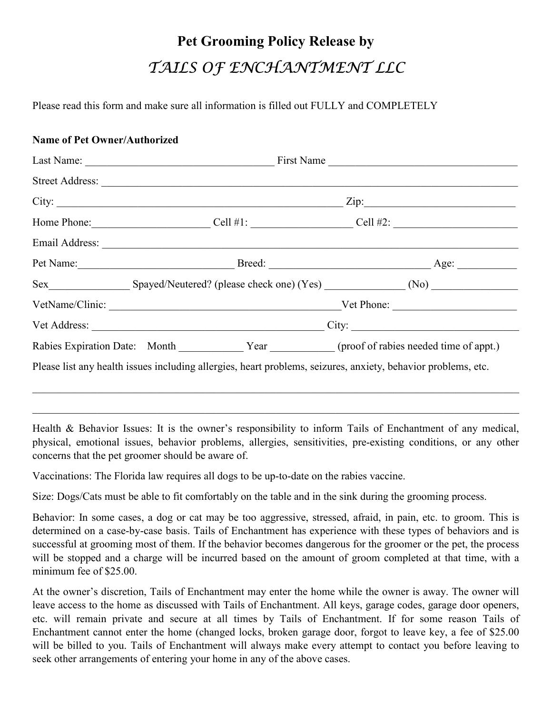## **Pet Grooming Policy Release by**  TAILS OF ENCHANTMENT LLC

Please read this form and make sure all information is filled out FULLY and COMPLETELY

## **Name of Pet Owner/Authorized**

|                                                                                                               | $\mathbb{Zip}$ : |
|---------------------------------------------------------------------------------------------------------------|------------------|
| Home Phone: $\qquad \qquad \text{Cell #1:}$ $\qquad \qquad \text{Cell #2:}$                                   |                  |
|                                                                                                               |                  |
|                                                                                                               |                  |
|                                                                                                               |                  |
| Vet Name/Clinic: Vet Phone: Vet Phone:                                                                        |                  |
|                                                                                                               |                  |
| Rabies Expiration Date: Month Year Vear (proof of rabies needed time of appt.)                                |                  |
| Please list any health issues including allergies, heart problems, seizures, anxiety, behavior problems, etc. |                  |

Health & Behavior Issues: It is the owner's responsibility to inform Tails of Enchantment of any medical, physical, emotional issues, behavior problems, allergies, sensitivities, pre-existing conditions, or any other concerns that the pet groomer should be aware of.

 $\_$  , and the set of the set of the set of the set of the set of the set of the set of the set of the set of the set of the set of the set of the set of the set of the set of the set of the set of the set of the set of th

Vaccinations: The Florida law requires all dogs to be up-to-date on the rabies vaccine.

Size: Dogs/Cats must be able to fit comfortably on the table and in the sink during the grooming process.

Behavior: In some cases, a dog or cat may be too aggressive, stressed, afraid, in pain, etc. to groom. This is determined on a case-by-case basis. Tails of Enchantment has experience with these types of behaviors and is successful at grooming most of them. If the behavior becomes dangerous for the groomer or the pet, the process will be stopped and a charge will be incurred based on the amount of groom completed at that time, with a minimum fee of \$25.00.

At the owner's discretion, Tails of Enchantment may enter the home while the owner is away. The owner will leave access to the home as discussed with Tails of Enchantment. All keys, garage codes, garage door openers, etc. will remain private and secure at all times by Tails of Enchantment. If for some reason Tails of Enchantment cannot enter the home (changed locks, broken garage door, forgot to leave key, a fee of \$25.00 will be billed to you. Tails of Enchantment will always make every attempt to contact you before leaving to seek other arrangements of entering your home in any of the above cases.